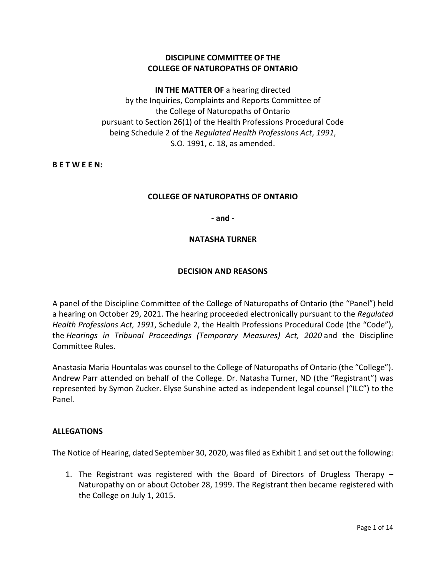# **DISCIPLINE COMMITTEE OF THE COLLEGE OF NATUROPATHS OF ONTARIO**

**IN THE MATTER OF** a hearing directed by the Inquiries, Complaints and Reports Committee of the College of Naturopaths of Ontario pursuant to Section 26(1) of the Health Professions Procedural Code being Schedule 2 of the *Regulated Health Professions Act*, *1991*, S.O. 1991, c. 18, as amended.

**B E T W E E N:**

### **COLLEGE OF NATUROPATHS OF ONTARIO**

**- and -**

### **NATASHA TURNER**

### **DECISION AND REASONS**

A panel of the Discipline Committee of the College of Naturopaths of Ontario (the "Panel") held a hearing on October 29, 2021. The hearing proceeded electronically pursuant to the *Regulated Health Professions Act, 1991*, Schedule 2, the Health Professions Procedural Code (the "Code"), the *Hearings in Tribunal Proceedings (Temporary Measures) Act, 2020* and the Discipline Committee Rules.

Anastasia Maria Hountalas was counsel to the College of Naturopaths of Ontario (the "College"). Andrew Parr attended on behalf of the College. Dr. Natasha Turner, ND (the "Registrant") was represented by Symon Zucker. Elyse Sunshine acted as independent legal counsel ("ILC") to the Panel.

### **ALLEGATIONS**

The Notice of Hearing, dated September 30, 2020, was filed as Exhibit 1 and set out the following:

1. The Registrant was registered with the Board of Directors of Drugless Therapy – Naturopathy on or about October 28, 1999. The Registrant then became registered with the College on July 1, 2015.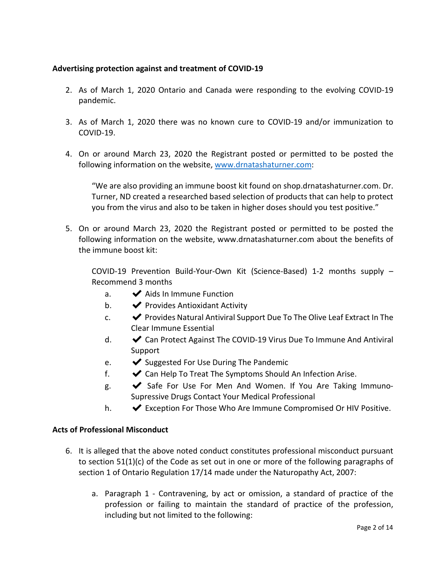## **Advertising protection against and treatment of COVID-19**

- 2. As of March 1, 2020 Ontario and Canada were responding to the evolving COVID-19 pandemic.
- 3. As of March 1, 2020 there was no known cure to COVID-19 and/or immunization to COVID-19.
- 4. On or around March 23, 2020 the Registrant posted or permitted to be posted the following information on the website, [www.drnatashaturner.com:](http://www.drnatashaturner.com/)

"We are also providing an immune boost kit found on shop.drnatashaturner.com. Dr. Turner, ND created a researched based selection of products that can help to protect you from the virus and also to be taken in higher doses should you test positive."

5. On or around March 23, 2020 the Registrant posted or permitted to be posted the following information on the website, www.drnatashaturner.com about the benefits of the immune boost kit:

COVID-19 Prevention Build-Your-Own Kit (Science-Based) 1-2 months supply – Recommend 3 months

- a.  $\blacktriangleright$  Aids In Immune Function
- $b.$   $\blacktriangleright$  Provides Antioxidant Activity
- $c.$   $\blacktriangleright$  Provides Natural Antiviral Support Due To The Olive Leaf Extract In The Clear Immune Essential
- d. ✔Can Protect Against The COVID-19 Virus Due To Immune And Antiviral Support
- e.  $\blacktriangleright$  Suggested For Use During The Pandemic
- f.  $\blacktriangleright$  Can Help To Treat The Symptoms Should An Infection Arise.
- $g.$   $\blacktriangleright$  Safe For Use For Men And Women. If You Are Taking Immuno-Supressive Drugs Contact Your Medical Professional
- h.  $\blacktriangleright$  Exception For Those Who Are Immune Compromised Or HIV Positive.

## **Acts of Professional Misconduct**

- 6. It is alleged that the above noted conduct constitutes professional misconduct pursuant to section 51(1)(c) of the Code as set out in one or more of the following paragraphs of section 1 of Ontario Regulation 17/14 made under the Naturopathy Act, 2007:
	- a. Paragraph 1 Contravening, by act or omission, a standard of practice of the profession or failing to maintain the standard of practice of the profession, including but not limited to the following: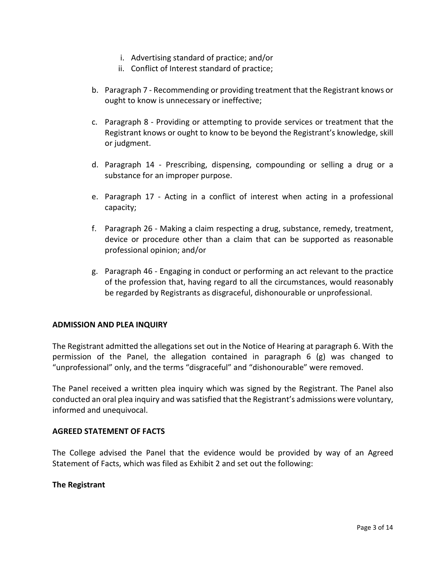- i. Advertising standard of practice; and/or
- ii. Conflict of Interest standard of practice;
- b. Paragraph 7 Recommending or providing treatment that the Registrant knows or ought to know is unnecessary or ineffective;
- c. Paragraph 8 Providing or attempting to provide services or treatment that the Registrant knows or ought to know to be beyond the Registrant's knowledge, skill or judgment.
- d. Paragraph 14 Prescribing, dispensing, compounding or selling a drug or a substance for an improper purpose.
- e. Paragraph 17 Acting in a conflict of interest when acting in a professional capacity;
- f. Paragraph 26 Making a claim respecting a drug, substance, remedy, treatment, device or procedure other than a claim that can be supported as reasonable professional opinion; and/or
- g. Paragraph 46 Engaging in conduct or performing an act relevant to the practice of the profession that, having regard to all the circumstances, would reasonably be regarded by Registrants as disgraceful, dishonourable or unprofessional.

## **ADMISSION AND PLEA INQUIRY**

The Registrant admitted the allegations set out in the Notice of Hearing at paragraph 6. With the permission of the Panel, the allegation contained in paragraph 6 (g) was changed to "unprofessional" only, and the terms "disgraceful" and "dishonourable" were removed.

The Panel received a written plea inquiry which was signed by the Registrant. The Panel also conducted an oral plea inquiry and was satisfied that the Registrant's admissions were voluntary, informed and unequivocal.

### **AGREED STATEMENT OF FACTS**

The College advised the Panel that the evidence would be provided by way of an Agreed Statement of Facts, which was filed as Exhibit 2 and set out the following:

### **The Registrant**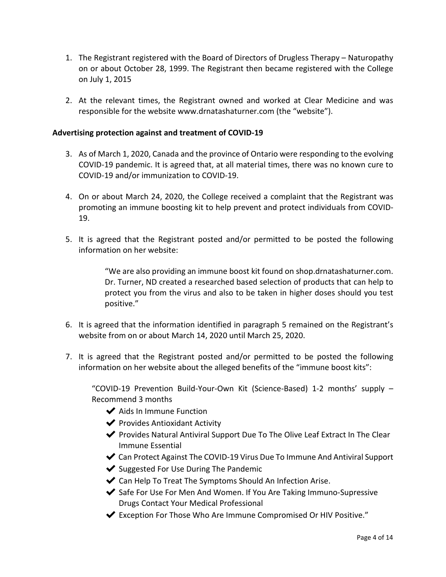- 1. The Registrant registered with the Board of Directors of Drugless Therapy Naturopathy on or about October 28, 1999. The Registrant then became registered with the College on July 1, 2015
- 2. At the relevant times, the Registrant owned and worked at Clear Medicine and was responsible for the website www.drnatashaturner.com (the "website").

## **Advertising protection against and treatment of COVID-19**

- 3. As of March 1, 2020, Canada and the province of Ontario were responding to the evolving COVID-19 pandemic. It is agreed that, at all material times, there was no known cure to COVID-19 and/or immunization to COVID-19.
- 4. On or about March 24, 2020, the College received a complaint that the Registrant was promoting an immune boosting kit to help prevent and protect individuals from COVID-19.
- 5. It is agreed that the Registrant posted and/or permitted to be posted the following information on her website:

"We are also providing an immune boost kit found on shop.drnatashaturner.com. Dr. Turner, ND created a researched based selection of products that can help to protect you from the virus and also to be taken in higher doses should you test positive."

- 6. It is agreed that the information identified in paragraph 5 remained on the Registrant's website from on or about March 14, 2020 until March 25, 2020.
- 7. It is agreed that the Registrant posted and/or permitted to be posted the following information on her website about the alleged benefits of the "immune boost kits":

"COVID-19 Prevention Build-Your-Own Kit (Science-Based) 1-2 months' supply – Recommend 3 months

- **◆** Aids In Immune Function
- ◆ Provides Antioxidant Activity
- ◆ Provides Natural Antiviral Support Due To The Olive Leaf Extract In The Clear Immune Essential
- ◆ Can Protect Against The COVID-19 Virus Due To Immune And Antiviral Support
- ◆ Suggested For Use During The Pandemic
- ◆ Can Help To Treat The Symptoms Should An Infection Arise.
- ◆ Safe For Use For Men And Women. If You Are Taking Immuno-Supressive Drugs Contact Your Medical Professional
- ✔Exception For Those Who Are Immune Compromised Or HIV Positive."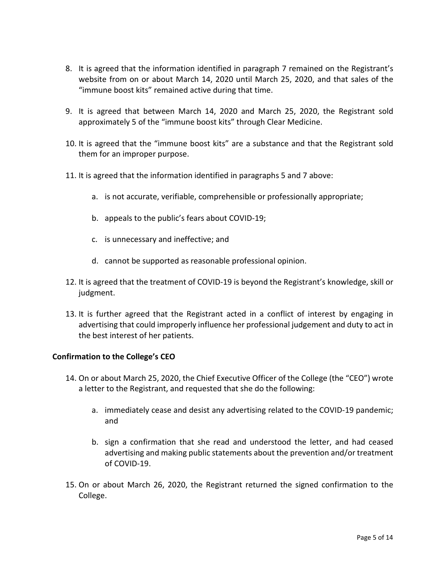- 8. It is agreed that the information identified in paragraph 7 remained on the Registrant's website from on or about March 14, 2020 until March 25, 2020, and that sales of the "immune boost kits" remained active during that time.
- 9. It is agreed that between March 14, 2020 and March 25, 2020, the Registrant sold approximately 5 of the "immune boost kits" through Clear Medicine.
- 10. It is agreed that the "immune boost kits" are a substance and that the Registrant sold them for an improper purpose.
- 11. It is agreed that the information identified in paragraphs 5 and 7 above:
	- a. is not accurate, verifiable, comprehensible or professionally appropriate;
	- b. appeals to the public's fears about COVID-19;
	- c. is unnecessary and ineffective; and
	- d. cannot be supported as reasonable professional opinion.
- 12. It is agreed that the treatment of COVID-19 is beyond the Registrant's knowledge, skill or judgment.
- 13. It is further agreed that the Registrant acted in a conflict of interest by engaging in advertising that could improperly influence her professional judgement and duty to act in the best interest of her patients.

### **Confirmation to the College's CEO**

- 14. On or about March 25, 2020, the Chief Executive Officer of the College (the "CEO") wrote a letter to the Registrant, and requested that she do the following:
	- a. immediately cease and desist any advertising related to the COVID-19 pandemic; and
	- b. sign a confirmation that she read and understood the letter, and had ceased advertising and making public statements about the prevention and/or treatment of COVID-19.
- 15. On or about March 26, 2020, the Registrant returned the signed confirmation to the College.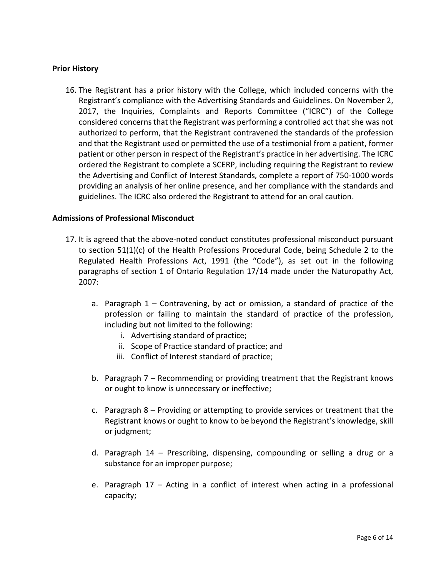## **Prior History**

16. The Registrant has a prior history with the College, which included concerns with the Registrant's compliance with the Advertising Standards and Guidelines. On November 2, 2017, the Inquiries, Complaints and Reports Committee ("ICRC") of the College considered concerns that the Registrant was performing a controlled act that she was not authorized to perform, that the Registrant contravened the standards of the profession and that the Registrant used or permitted the use of a testimonial from a patient, former patient or other person in respect of the Registrant's practice in her advertising. The ICRC ordered the Registrant to complete a SCERP, including requiring the Registrant to review the Advertising and Conflict of Interest Standards, complete a report of 750-1000 words providing an analysis of her online presence, and her compliance with the standards and guidelines. The ICRC also ordered the Registrant to attend for an oral caution.

### **Admissions of Professional Misconduct**

- 17. It is agreed that the above-noted conduct constitutes professional misconduct pursuant to section 51(1)(c) of the Health Professions Procedural Code, being Schedule 2 to the Regulated Health Professions Act, 1991 (the "Code"), as set out in the following paragraphs of section 1 of Ontario Regulation 17/14 made under the Naturopathy Act, 2007:
	- a. Paragraph 1 Contravening, by act or omission, a standard of practice of the profession or failing to maintain the standard of practice of the profession, including but not limited to the following:
		- i. Advertising standard of practice;
		- ii. Scope of Practice standard of practice; and
		- iii. Conflict of Interest standard of practice;
	- b. Paragraph 7 Recommending or providing treatment that the Registrant knows or ought to know is unnecessary or ineffective;
	- c. Paragraph 8 Providing or attempting to provide services or treatment that the Registrant knows or ought to know to be beyond the Registrant's knowledge, skill or judgment;
	- d. Paragraph 14 Prescribing, dispensing, compounding or selling a drug or a substance for an improper purpose;
	- e. Paragraph 17 Acting in a conflict of interest when acting in a professional capacity;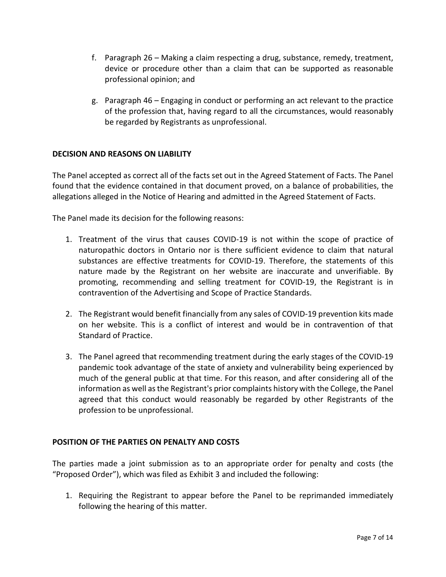- f. Paragraph 26 Making a claim respecting a drug, substance, remedy, treatment, device or procedure other than a claim that can be supported as reasonable professional opinion; and
- g. Paragraph 46 Engaging in conduct or performing an act relevant to the practice of the profession that, having regard to all the circumstances, would reasonably be regarded by Registrants as unprofessional.

# **DECISION AND REASONS ON LIABILITY**

The Panel accepted as correct all of the facts set out in the Agreed Statement of Facts. The Panel found that the evidence contained in that document proved, on a balance of probabilities, the allegations alleged in the Notice of Hearing and admitted in the Agreed Statement of Facts.

The Panel made its decision for the following reasons:

- 1. Treatment of the virus that causes COVID-19 is not within the scope of practice of naturopathic doctors in Ontario nor is there sufficient evidence to claim that natural substances are effective treatments for COVID-19. Therefore, the statements of this nature made by the Registrant on her website are inaccurate and unverifiable. By promoting, recommending and selling treatment for COVID-19, the Registrant is in contravention of the Advertising and Scope of Practice Standards.
- 2. The Registrant would benefit financially from any sales of COVID-19 prevention kits made on her website. This is a conflict of interest and would be in contravention of that Standard of Practice.
- 3. The Panel agreed that recommending treatment during the early stages of the COVID-19 pandemic took advantage of the state of anxiety and vulnerability being experienced by much of the general public at that time. For this reason, and after considering all of the information as well as the Registrant's prior complaints history with the College, the Panel agreed that this conduct would reasonably be regarded by other Registrants of the profession to be unprofessional.

## **POSITION OF THE PARTIES ON PENALTY AND COSTS**

The parties made a joint submission as to an appropriate order for penalty and costs (the "Proposed Order"), which was filed as Exhibit 3 and included the following:

1. Requiring the Registrant to appear before the Panel to be reprimanded immediately following the hearing of this matter.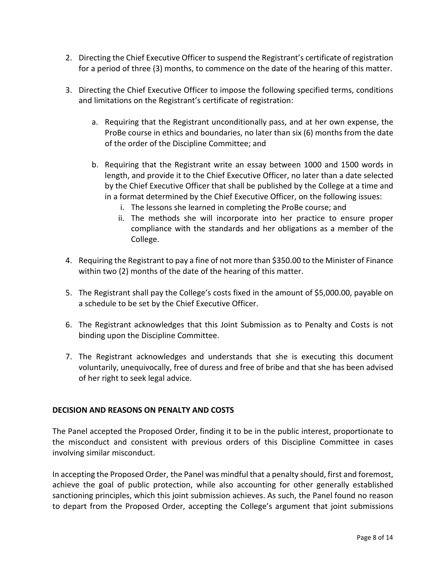- 2. Directing the Chief Executive Officer to suspend the Registrant's certificate of registration for a period of three (3) months, to commence on the date of the hearing of this matter.
- 3. Directing the Chief Executive Officer to impose the following specified terms, conditions and limitations on the Registrant's certificate of registration:
	- a. Requiring that the Registrant unconditionally pass, and at her own expense, the ProBe course in ethics and boundaries, no later than six (6) months from the date of the order of the Discipline Committee; and
	- b. Requiring that the Registrant write an essay between 1000 and 1500 words in length, and provide it to the Chief Executive Officer, no later than a date selected by the Chief Executive Officer that shall be published by the College at a time and in a format determined by the Chief Executive Officer, on the following issues:
		- i. The lessons she learned in completing the ProBe course; and
		- ii. The methods she will incorporate into her practice to ensure proper compliance with the standards and her obligations as a member of the College.
- 4. Requiring the Registrant to pay a fine of not more than \$350.00 to the Minister of Finance within two (2) months of the date of the hearing of this matter.
- 5. The Registrant shall pay the College's costs fixed in the amount of \$5,000.00, payable on a schedule to be set by the Chief Executive Officer.
- 6. The Registrant acknowledges that this Joint Submission as to Penalty and Costs is not binding upon the Discipline Committee.
- 7. The Registrant acknowledges and understands that she is executing this document voluntarily, unequivocally, free of duress and free of bribe and that she has been advised of her right to seek legal advice.

# **DECISION AND REASONS ON PENALTY AND COSTS**

The Panel accepted the Proposed Order, finding it to be in the public interest, proportionate to the misconduct and consistent with previous orders of this Discipline Committee in cases involving similar misconduct.

In accepting the Proposed Order, the Panel was mindful that a penalty should, first and foremost, achieve the goal of public protection, while also accounting for other generally established sanctioning principles, which this joint submission achieves. As such, the Panel found no reason to depart from the Proposed Order, accepting the College's argument that joint submissions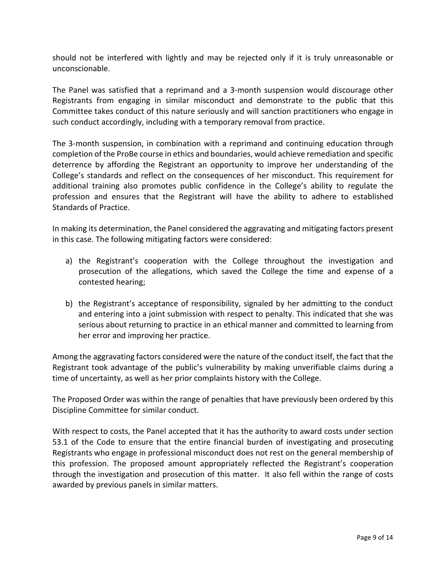should not be interfered with lightly and may be rejected only if it is truly unreasonable or unconscionable.

The Panel was satisfied that a reprimand and a 3-month suspension would discourage other Registrants from engaging in similar misconduct and demonstrate to the public that this Committee takes conduct of this nature seriously and will sanction practitioners who engage in such conduct accordingly, including with a temporary removal from practice.

The 3-month suspension, in combination with a reprimand and continuing education through completion of the ProBe course in ethics and boundaries, would achieve remediation and specific deterrence by affording the Registrant an opportunity to improve her understanding of the College's standards and reflect on the consequences of her misconduct. This requirement for additional training also promotes public confidence in the College's ability to regulate the profession and ensures that the Registrant will have the ability to adhere to established Standards of Practice.

In making its determination, the Panel considered the aggravating and mitigating factors present in this case. The following mitigating factors were considered:

- a) the Registrant's cooperation with the College throughout the investigation and prosecution of the allegations, which saved the College the time and expense of a contested hearing;
- b) the Registrant's acceptance of responsibility, signaled by her admitting to the conduct and entering into a joint submission with respect to penalty. This indicated that she was serious about returning to practice in an ethical manner and committed to learning from her error and improving her practice.

Among the aggravating factors considered were the nature of the conduct itself, the fact that the Registrant took advantage of the public's vulnerability by making unverifiable claims during a time of uncertainty, as well as her prior complaints history with the College.

The Proposed Order was within the range of penalties that have previously been ordered by this Discipline Committee for similar conduct.

With respect to costs, the Panel accepted that it has the authority to award costs under section 53.1 of the Code to ensure that the entire financial burden of investigating and prosecuting Registrants who engage in professional misconduct does not rest on the general membership of this profession. The proposed amount appropriately reflected the Registrant's cooperation through the investigation and prosecution of this matter. It also fell within the range of costs awarded by previous panels in similar matters.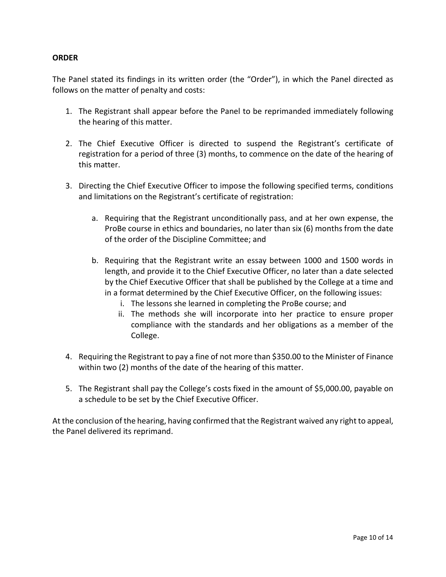## **ORDER**

The Panel stated its findings in its written order (the "Order"), in which the Panel directed as follows on the matter of penalty and costs:

- 1. The Registrant shall appear before the Panel to be reprimanded immediately following the hearing of this matter.
- 2. The Chief Executive Officer is directed to suspend the Registrant's certificate of registration for a period of three (3) months, to commence on the date of the hearing of this matter.
- 3. Directing the Chief Executive Officer to impose the following specified terms, conditions and limitations on the Registrant's certificate of registration:
	- a. Requiring that the Registrant unconditionally pass, and at her own expense, the ProBe course in ethics and boundaries, no later than six (6) months from the date of the order of the Discipline Committee; and
	- b. Requiring that the Registrant write an essay between 1000 and 1500 words in length, and provide it to the Chief Executive Officer, no later than a date selected by the Chief Executive Officer that shall be published by the College at a time and in a format determined by the Chief Executive Officer, on the following issues:
		- i. The lessons she learned in completing the ProBe course; and
		- ii. The methods she will incorporate into her practice to ensure proper compliance with the standards and her obligations as a member of the College.
- 4. Requiring the Registrant to pay a fine of not more than \$350.00 to the Minister of Finance within two (2) months of the date of the hearing of this matter.
- 5. The Registrant shall pay the College's costs fixed in the amount of \$5,000.00, payable on a schedule to be set by the Chief Executive Officer.

At the conclusion of the hearing, having confirmed that the Registrant waived any right to appeal, the Panel delivered its reprimand.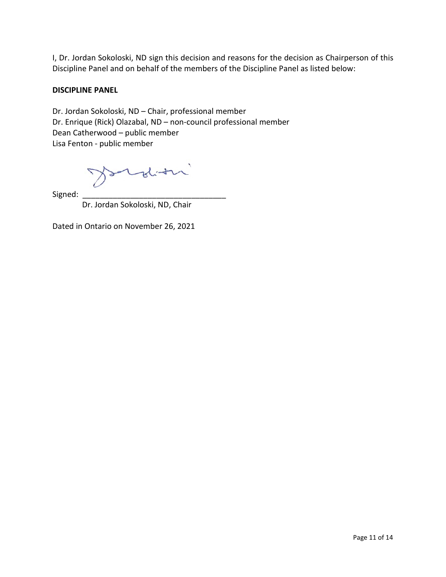I, Dr. Jordan Sokoloski, ND sign this decision and reasons for the decision as Chairperson of this Discipline Panel and on behalf of the members of the Discipline Panel as listed below:

## **DISCIPLINE PANEL**

Dr. Jordan Sokoloski, ND – Chair, professional member Dr. Enrique (Rick) Olazabal, ND – non-council professional member Dean Catherwood – public member Lisa Fenton - public member

Jordin

Signed: \_\_\_\_\_\_\_\_\_\_\_\_\_\_\_\_\_\_\_\_\_\_\_\_\_\_\_\_\_\_\_\_\_

Dr. Jordan Sokoloski, ND, Chair

Dated in Ontario on November 26, 2021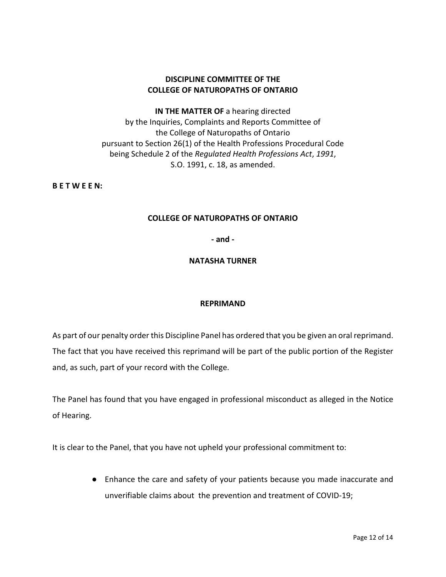# **DISCIPLINE COMMITTEE OF THE COLLEGE OF NATUROPATHS OF ONTARIO**

**IN THE MATTER OF** a hearing directed by the Inquiries, Complaints and Reports Committee of the College of Naturopaths of Ontario pursuant to Section 26(1) of the Health Professions Procedural Code being Schedule 2 of the *Regulated Health Professions Act*, *1991*, S.O. 1991, c. 18, as amended.

**B E T W E E N:**

## **COLLEGE OF NATUROPATHS OF ONTARIO**

**- and -**

## **NATASHA TURNER**

### **REPRIMAND**

As part of our penalty order this Discipline Panel has ordered that you be given an oral reprimand. The fact that you have received this reprimand will be part of the public portion of the Register and, as such, part of your record with the College.

The Panel has found that you have engaged in professional misconduct as alleged in the Notice of Hearing.

It is clear to the Panel, that you have not upheld your professional commitment to:

● Enhance the care and safety of your patients because you made inaccurate and unverifiable claims about the prevention and treatment of COVID-19;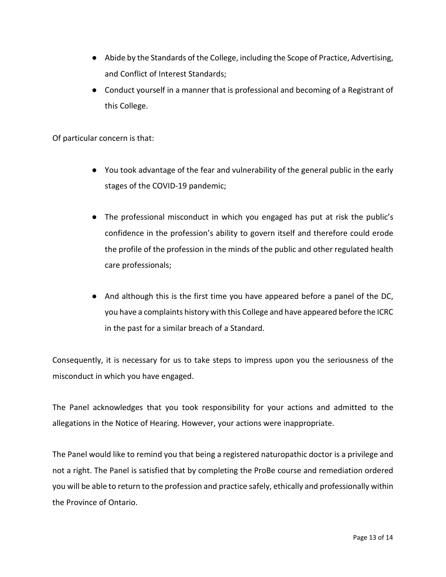- Abide by the Standards of the College, including the Scope of Practice, Advertising, and Conflict of Interest Standards;
- Conduct yourself in a manner that is professional and becoming of a Registrant of this College.

Of particular concern is that:

- You took advantage of the fear and vulnerability of the general public in the early stages of the COVID-19 pandemic;
- The professional misconduct in which you engaged has put at risk the public's confidence in the profession's ability to govern itself and therefore could erode the profile of the profession in the minds of the public and other regulated health care professionals;
- And although this is the first time you have appeared before a panel of the DC, you have a complaints history with this College and have appeared before the ICRC in the past for a similar breach of a Standard.

Consequently, it is necessary for us to take steps to impress upon you the seriousness of the misconduct in which you have engaged.

The Panel acknowledges that you took responsibility for your actions and admitted to the allegations in the Notice of Hearing. However, your actions were inappropriate.

The Panel would like to remind you that being a registered naturopathic doctor is a privilege and not a right. The Panel is satisfied that by completing the ProBe course and remediation ordered you will be able to return to the profession and practice safely, ethically and professionally within the Province of Ontario.